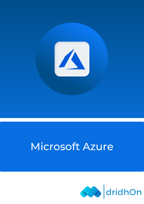

# Microsoft Azure

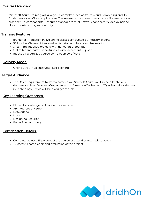## Course Overview:

Microsoft Azure Training will give you a complete idea of Azure Cloud Computing and its fundamentals on Cloud applications. The Azure course covers major topics like master cloud architecture, components, Resource Manager, Virtual Network connectivity, deploying the cloud infrastructure, and security.

## **Training Features:**

- 8X higher interaction in live online classes conducted by industry experts
- 50 Hrs. live Classes of Azure Administrator with Interview Preparation
- 3 real-time industry projects with hands-on preparation
- Unlimited Interview Opportunities with Placement Support
- Industry-recognized course completion certificate

## Delivery Mode:

Online Live Virtual Instructor Led Training

## Target Audiance:

The Basic Requirement to start a career as a Microsoft Azure, you'll need a Bachelor's degree or at least 1+ years of experience in Information Technology (IT). A Bachelor's degree in Technology justice will help you get the job.

## Key Learning Outcomes:

- Efficient knowledge on Azure and its services.
- Architecture of Azure.
- Networking.
- Linux.
- Designing Security.
- PowerShell scripting.

# Certification Details:

- Complete at least 85 percent of the course or attend one complete batch
- Successful completion and evaluation of the project

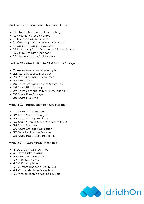#### Module 01 - Introduction to Microsoft Azure

- 1.1 Introduction to cloud computing
- 1.2 What is Microsoft Azure?
- 1.3 Microsoft Azure Services
- 1.4 Creating a Microsoft Azure Account
- 1.5 Azure CLI, Azure PowerShell
- 1.6 Managing Azure Resources & Subscriptions
- 1.7 Azure Resource Manager
- 1.8 Microsoft Azure Architecture

#### Module 02 - Introduction to ARM & Azure Storage

- 2.1 Azure Resources & Subscriptions
- 2.2 Azure Resource Manager
- 2.3 Managing Azure Resources
- 2.4 Azure Tags
- 2.5 Azure Storage Account & its types
- 2.6 Azure Blob Storage
- 2.7 Azure Content Delivery Network (CDN)
- 2.8 Azure Files Storage
- 2.9 Azure File Sync

## Module 03 - Introduction to Azure storage

- 3.1 Azure Table Storage
- 3.2 Azure Queue Storage
- 3.3 Azure Storage Explorer
- 3.4 Azure Shared Access Signature (SAS)
- 3.5 Azure Databox
- 3.6 Azure Storage Replication
- 3.7 Data Replication Options
- 3.8 Azure Import/Export Service

## Module 04 - Azure Virtual Machines

- 4.1 Azure Virtual Machines
- 4.2 Data Disks in Azure
- 4.3 Azure VMs & Interfaces
- 4.4 ARM templates
- 4.5 VHD templates
- 4.6 Custom Images of Azure VM
- 4.7 Virtual Machine Scale Sets
- 4.8 Virtual Machine Availability Sets

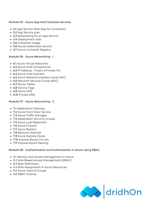## Module 05 - Azure App and Container services

- 5.1 App Service Web App for Containers
- 5.2 App Service plan
- 5.3 Networking for an App Service
- 5.4 Deployment slots
- 5.5 Container image
- 5.6 Azure Kubernetes Service
- 5.7 Azure Container Registry

#### Module 06 - Azure Networking - I

- 6.1 Azure Virtual Networks
- 6.2 Azure Vnet Components
- 6.3 IP Address Public & Private IPs
- 6.4 Azure Vnet Subnets
- 6.5 Azure Network Interface Cards (NIC)
- 6.6 Network Security Group (NSG)
- 6.7 Route Tables
- 6.8 Service Tags
- 6.9 Azure DNS
- 6.10 Private DNS

#### Module 07 - Azure Networking - II

- 7.1 Application Gateway
- 7.2 Azure Front Door Service
- 7.3 Azure Traffic Manager
- 7.4 Application Security Groups
- 7.5 Azure Load Balancers
- 7.6 Azure Firewall
- 7.7 Azure Bastion
- 7.8 Network Watcher
- 7.9 Azure Express Route
- 7.10 Express Route Circuits
- 7.11 Express Route Peering

## Module 08 - Authentication and Authorization in Azure using RBAC

- 8.1 Identity and Access Management in Azure
- 8.2 Role Based Access Management (RBAC)
- 8.3 Role Definitions
- 8.4 Role Assignment in Azure Resources
- 8.5 Azure Users & Groups
- 8.6 RBAC Policies